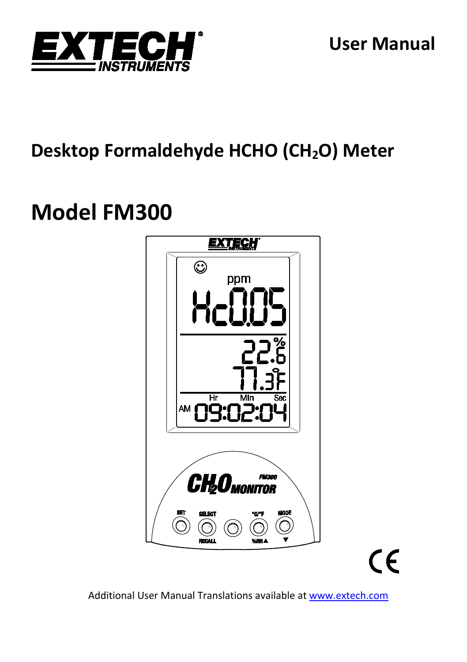

## **Desktop Formaldehyde HCHO (CH2O) Meter**

# **Model FM300**



 $\epsilon$ 

Additional User Manual Translations available at [www.extech.com](http://www.extech.com/)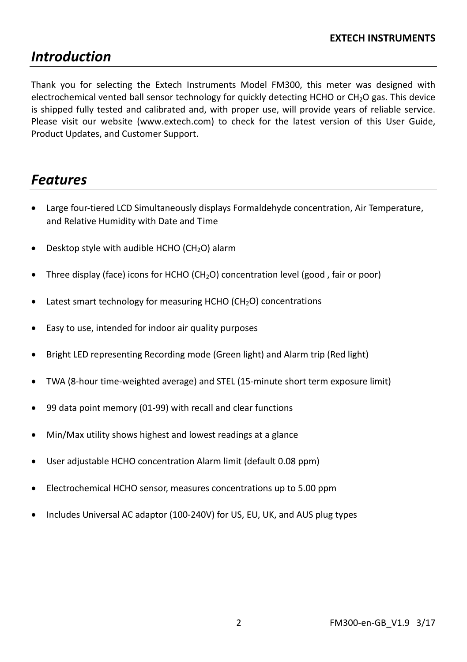## *Introduction*

Thank you for selecting the Extech Instruments Model FM300, this meter was designed with electrochemical vented ball sensor technology for quickly detecting HCHO or CH<sub>2</sub>O gas. This device is shipped fully tested and calibrated and, with proper use, will provide years of reliable service. Please visit our website [\(www.extech.com\)](http://www.extech.com/) to check for the latest version of this User Guide, Product Updates, and Customer Support.

### *Features*

- Large four-tiered LCD Simultaneously displays Formaldehyde concentration, Air Temperature, and Relative Humidity with Date and Time
- Desktop style with audible HCHO (CH<sub>2</sub>O) alarm
- Three display (face) icons for HCHO (CH<sub>2</sub>O) concentration level (good, fair or poor)
- Latest smart technology for measuring HCHO ( $CH<sub>2</sub>O$ ) concentrations
- Easy to use, intended for indoor air quality purposes
- Bright LED representing Recording mode (Green light) and Alarm trip (Red light)
- TWA (8-hour time-weighted average) and STEL (15-minute short term exposure limit)
- 99 data point memory (01-99) with recall and clear functions
- Min/Max utility shows highest and lowest readings at a glance
- User adjustable HCHO concentration Alarm limit (default 0.08 ppm)
- Electrochemical HCHO sensor, measures concentrations up to 5.00 ppm
- Includes Universal AC adaptor (100-240V) for US, EU, UK, and AUS plug types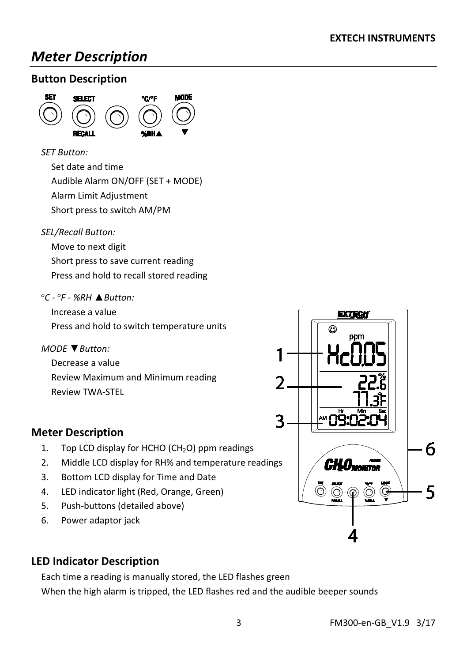## *Meter Description*

#### **Button Description**



*SET Button:*

Set date and time

Audible Alarm ON/OFF (SET + MODE)

Alarm Limit Adjustment

Short press to switch AM/PM

#### *SEL/Recall Button:*

Move to next digit Short press to save current reading Press and hold to recall stored reading

#### *oC - oF - %RH* **▲***Button:*

Increase a value Press and hold to switch temperature units

*MODE* **▼***Button:*

Decrease a value Review Maximum and Minimum reading Review TWA-STEL



- 1. Top LCD display for HCHO ( $CH<sub>2</sub>O$ ) ppm readings
- 2. Middle LCD display for RH% and temperature readings
- 3. Bottom LCD display for Time and Date
- 4. LED indicator light (Red, Orange, Green)
- 5. Push-buttons (detailed above)
- 6. Power adaptor jack

#### **LED Indicator Description**

Each time a reading is manually stored, the LED flashes green When the high alarm is tripped, the LED flashes red and the audible beeper sounds

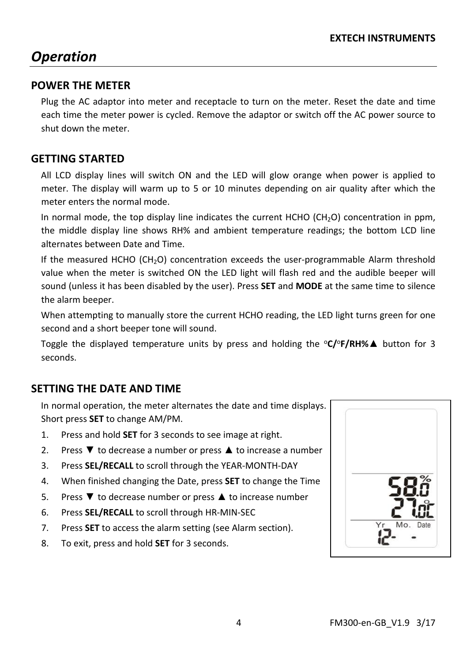## *Operation*

#### **POWER THE METER**

Plug the AC adaptor into meter and receptacle to turn on the meter. Reset the date and time each time the meter power is cycled. Remove the adaptor or switch off the AC power source to shut down the meter.

#### **GETTING STARTED**

All LCD display lines will switch ON and the LED will glow orange when power is applied to meter. The display will warm up to 5 or 10 minutes depending on air quality after which the meter enters the normal mode.

In normal mode, the top display line indicates the current HCHO ( $CH<sub>2</sub>O$ ) concentration in ppm, the middle display line shows RH% and ambient temperature readings; the bottom LCD line alternates between Date and Time.

If the measured HCHO (CH<sub>2</sub>O) concentration exceeds the user-programmable Alarm threshold value when the meter is switched ON the LED light will flash red and the audible beeper will sound (unless it has been disabled by the user). Press **SET** and **MODE** at the same time to silence the alarm beeper.

When attempting to manually store the current HCHO reading, the LED light turns green for one second and a short beeper tone will sound.

Toggle the displayed temperature units by press and holding the <sup>o</sup>**C/**<sup>o</sup>**F/RH%▲** button for 3 seconds.

#### **SETTING THE DATE AND TIME**

In normal operation, the meter alternates the date and time displays. Short press **SET** to change AM/PM.

- 1. Press and hold **SET** for 3 seconds to see image at right.
- 2. Press **▼** to decrease a number or press ▲ to increase a number
- 3. Press **SEL/RECALL** to scroll through the YEAR-MONTH-DAY
- 4. When finished changing the Date, press **SET** to change the Time
- 5. Press **▼** to decrease number or press ▲ to increase number
- 6. Press **SEL/RECALL** to scroll through HR-MIN-SEC
- 7. Press **SET** to access the alarm setting (see Alarm section).
- 8. To exit, press and hold **SET** for 3 seconds.

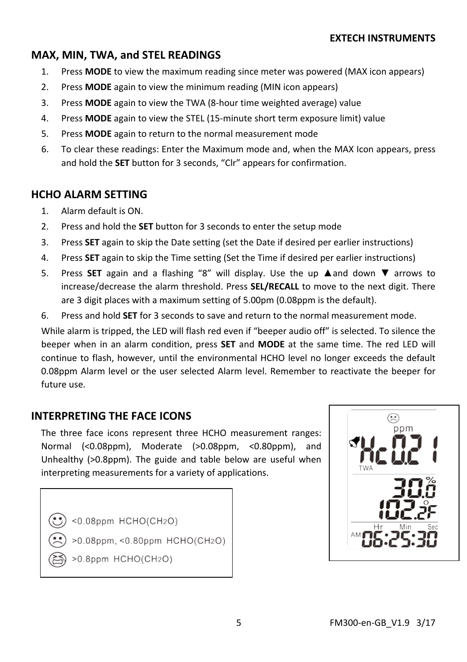#### **MAX, MIN, TWA, and STEL READINGS**

- 1. Press **MODE** to view the maximum reading since meter was powered (MAX icon appears)
- 2. Press **MODE** again to view the minimum reading (MIN icon appears)
- 3. Press **MODE** again to view the TWA (8-hour time weighted average) value
- 4. Press **MODE** again to view the STEL (15-minute short term exposure limit) value
- 5. Press **MODE** again to return to the normal measurement mode
- 6. To clear these readings: Enter the Maximum mode and, when the MAX Icon appears, press and hold the **SET** button for 3 seconds, "Clr" appears for confirmation.

#### **HCHO ALARM SETTING**

- 1. Alarm default is ON.
- 2. Press and hold the **SET** button for 3 seconds to enter the setup mode
- 3. Press **SET** again to skip the Date setting (set the Date if desired per earlier instructions)
- 4. Press **SET** again to skip the Time setting (Set the Time if desired per earlier instructions)
- 5. Press **SET** again and a flashing "8" will display. Use the up **▲**and down **▼** arrows to increase/decrease the alarm threshold. Press **SEL/RECALL** to move to the next digit. There are 3 digit places with a maximum setting of 5.00pm (0.08ppm is the default).
- 6. Press and hold **SET** for 3 seconds to save and return to the normal measurement mode.

While alarm is tripped, the LED will flash red even if "beeper audio off" is selected. To silence the beeper when in an alarm condition, press **SET** and **MODE** at the same time. The red LED will continue to flash, however, until the environmental HCHO level no longer exceeds the default 0.08ppm Alarm level or the user selected Alarm level. Remember to reactivate the beeper for future use.

#### **INTERPRETING THE FACE ICONS**

The three face icons represent three HCHO measurement ranges: Normal (<0.08ppm), Moderate (>0.08ppm, <0.80ppm), and Unhealthy (>0.8ppm). The guide and table below are useful when interpreting measurements for a variety of applications.

 $<0.08$ ppm HCHO(CH2O)  $>0.08$ ppm, <0.80ppm HCHO(CH2O) >0.8ppm HCHO(CH2O)

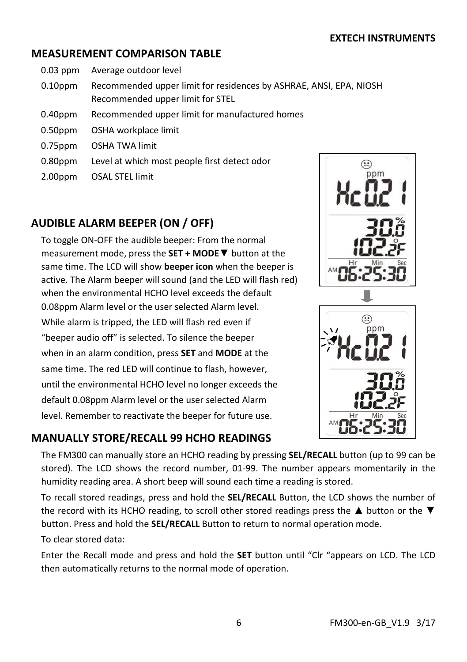#### **MEASUREMENT COMPARISON TABLE**

- 0.03 ppm Average outdoor level
- 0.10ppm Recommended upper limit for residences by ASHRAE, ANSI, EPA, NIOSH Recommended upper limit for STEL
- 0.40ppm Recommended upper limit for manufactured homes
- 0.50ppm OSHA workplace limit
- 0.75ppm OSHA TWA limit
- 0.80ppm Level at which most people first detect odor
- 2.00ppm OSAL STEL limit

#### **AUDIBLE ALARM BEEPER (ON / OFF)**

To toggle ON-OFF the audible beeper: From the normal measurement mode, press the **SET + MODE▼** button at the same time. The LCD will show **beeper icon** when the beeper is active. The Alarm beeper will sound (and the LED will flash red) when the environmental HCHO level exceeds the default 0.08ppm Alarm level or the user selected Alarm level. While alarm is tripped, the LED will flash red even if "beeper audio off" is selected. To silence the beeper when in an alarm condition, press **SET** and **MODE** at the same time. The red LED will continue to flash, however, until the environmental HCHO level no longer exceeds the default 0.08ppm Alarm level or the user selected Alarm level. Remember to reactivate the beeper for future use.

#### **MANUALLY STORE/RECALL 99 HCHO READINGS**





The FM300 can manually store an HCHO reading by pressing **SEL/RECALL** button (up to 99 can be stored). The LCD shows the record number, 01-99. The number appears momentarily in the humidity reading area. A short beep will sound each time a reading is stored.

To recall stored readings, press and hold the **SEL/RECALL** Button, the LCD shows the number of the record with its HCHO reading, to scroll other stored readings press the **▲** button or the **▼** button. Press and hold the **SEL/RECALL** Button to return to normal operation mode.

To clear stored data:

Enter the Recall mode and press and hold the **SET** button until "Clr "appears on LCD. The LCD then automatically returns to the normal mode of operation.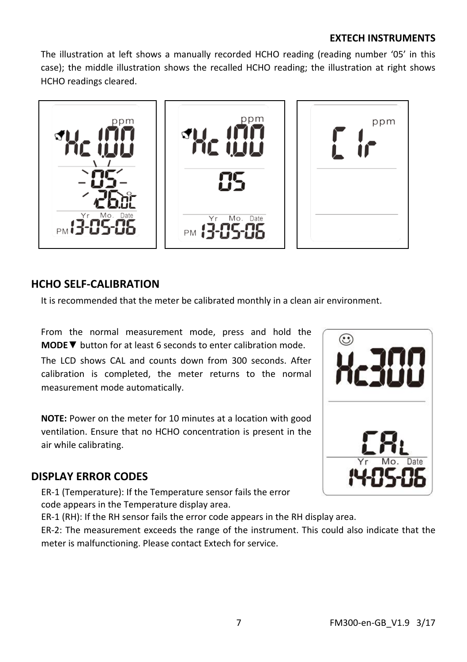#### **EXTECH INSTRUMENTS**

The illustration at left shows a manually recorded HCHO reading (reading number '05' in this case); the middle illustration shows the recalled HCHO reading; the illustration at right shows HCHO readings cleared.



#### **HCHO SELF-CALIBRATION**

It is recommended that the meter be calibrated monthly in a clean air environment.

From the normal measurement mode, press and hold the **MODE▼** button for at least 6 seconds to enter calibration mode.

The LCD shows CAL and counts down from 300 seconds. After calibration is completed, the meter returns to the normal measurement mode automatically.

**NOTE:** Power on the meter for 10 minutes at a location with good ventilation. Ensure that no HCHO concentration is present in the air while calibrating.

#### **DISPLAY ERROR CODES**

ER-1 (Temperature): If the Temperature sensor fails the error code appears in the Temperature display area.

ER-1 (RH): If the RH sensor fails the error code appears in the RH display area.

ER-2: The measurement exceeds the range of the instrument. This could also indicate that the meter is malfunctioning. Please contact Extech for service.